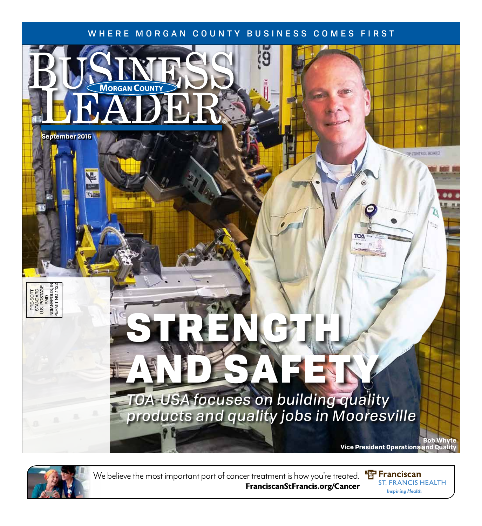## WHERE MORGAN COUNTY BUSINESS COMES FIRST





We believe the most important part of cancer treatment is how you're treated. **FranciscanStFrancis.org/Cancer** *ST. FRANCIS HEALTH* 

For Franciscan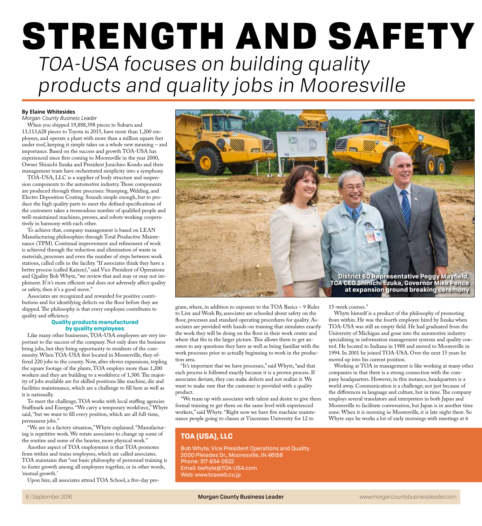# TOA-USA focuses on building quality products and quality jobs in Mooresville STRENGTH AND SAFETY

#### **By Elaine Whitesides**

*Morgan County Business Leader*

When you shipped 19,888,398 pieces to Subaru and 13,113,628 pieces to Toyota in 2015, have more than 1,200 employees, and operate a plant with more than a million square feet under roof, keeping it simple takes on a whole new meaning – and importance. Based on the success and growth TOA-USA has experienced since first coming to Mooresville in the year 2000, Owner Shinichi Iizuka and President Junichiro Kondo and their management team have orchestrated simplicity into a symphony.

TOA-USA, LLC is a supplier of body structure and suspension components to the automotive industry. Those components are produced through three processes: Stamping, Welding, and Electro Deposition Coating. Sounds simple enough, but to produce the high quality parts to meet the defined specifications of the customers takes a tremendous number of qualified people and well-maintained machines, presses, and robots working cooperatively in harmony with each other.

To achieve that, company management is based on LEAN Manufacturing philosophies through Total Productive Maintenance (TPM). Continual improvement and refinement of work is achieved through the reduction and elimination of waste in materials, processes and even the number of steps between work stations, called cells in the facility. "If associates think they have a better process (called Kaizen)," said Vice President of Operations and Quality Bob Whyte, "we review that and may or may not implement. If it's more efficient and does not adversely affect quality or safety, then it's a good move."

Associates are recognized and rewarded for positive contributions and for identifying defects on the floor before they are shipped. The philosophy is that every employee contributes to quality and efficiency.

#### **Quality products manufactured by quality employees**

Like many other businesses, TOA-USA employees are very important to the success of the company. Not only does the business bring jobs, but they bring opportunity to residents of the community. When TOA-USA first located in Mooresville, they offered 220 jobs to the county. Now, after eleven expansions, tripling the square footage of the plants, TOA employs more than 1,200 workers and they are building to a workforce of 1,300. The majority of jobs available are for skilled positions like machine, die and facilities maintenance, which are a challenge to fill here as well as it is nationally.

To meet the challenge, TOA works with local staffing agencies Staffmark and Energeo. "We carry a temporary workforce," Whyte said, "but we want to fill every position, which are all full-time, permanent jobs."

"We are in a factory situation," Whyte explained. "Manufacturing is repetitive work. We rotate associates to change up some of the routine and some of the heavier, more physical work."

Another aspect of TOA employment is that TOA promotes from within and trains employees, which are called associates. TOA maintains that "our basic philosophy of personnel training is to foster growth among all employees together, or in other words, 'mutual growth.'

Upon hire, all associates attend TOA School, a five-day pro-



gram, where, in addition to exposure to the TOA Basics – 9 Rules to Live and Work By, associates are schooled about safety on the floor, processes and standard operating procedures for quality. Associates are provided with hands-on training that simulates exactly the work they will be doing on the floor in their work center and where that fits in the larger picture. This allows them to get answers to any questions they have as well as being familiar with the work processes prior to actually beginning to work in the production area.

"It's important that we have processes," said Whyte, "and that each process is followed exactly because it is a proven process. If associates deviate, they can make defects and not realize it. We want to make sure that the customer is provided with a quality product.

"We team up with associates with talent and desire to give them formal training to get them on the same level with experienced workers," said Whyte. "Right now we have five machine maintenance people going to classes at Vincennes University for 12 to

### **TOA (USA), LLC**

Bob Whyte, Vice President Operations and Quality 2000 Pleiades Dr., Mooresville, IN 46158 Phone: 317-834-0522 Email: bwhyte@TOA-USA.com Web: www.toaweb.co.jp

15-week courses."

Whyte himself is a product of the philosophy of promoting from within. He was the fourth employee hired by Iizuka when TOA-USA was still an empty field. He had graduated from the University of Michigan and gone into the automotive industry specializing in information management systems and quality control. He located to Indiana in 1988 and moved to Mooresville in 1994. In 2001 he joined TOA-USA. Over the next 15 years he moved up into his current position.

Working at TOA in management is like working at many other companies in that there is a strong connection with the company headquarters. However, in this instance, headquarters is a world away. Communication is a challenge; not just because of the differences in language and culture, but in time. The company employs several translators and interpreters in both Japan and Mooresville to facilitate conversation, but Japan is in another time zone. When it is morning in Mooresville, it is late night there. So Whyte says he works a lot of early mornings with meetings at 6